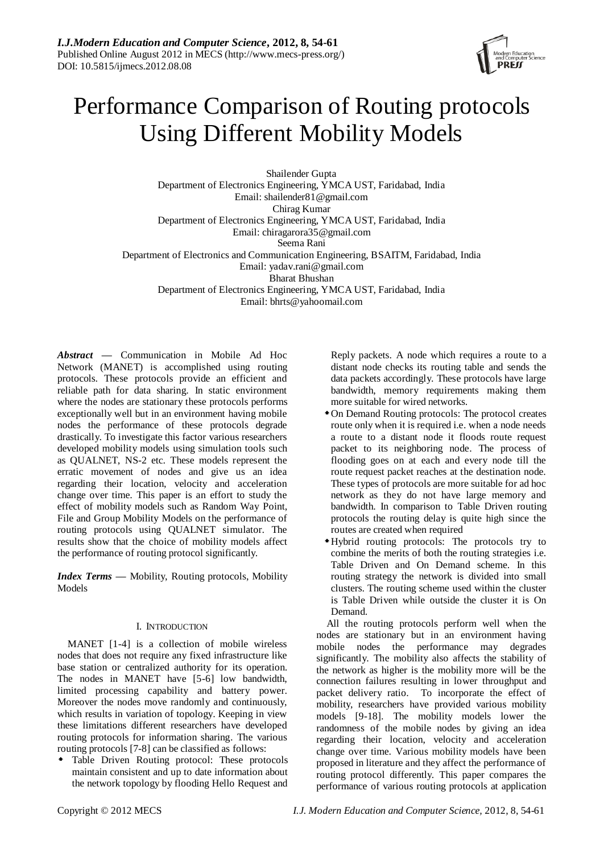

# Performance Comparison of Routing protocols Using Different Mobility Models

Shailender Gupta Department of Electronics Engineering, YMCA UST, Faridabad, India Email: shailender81@gmail.com Chirag Kumar Department of Electronics Engineering, YMCA UST, Faridabad, India Email: chiragarora35@gmail.com Seema Rani Department of Electronics and Communication Engineering, BSAITM, Faridabad, India Email: yadav.rani@gmail.com Bharat Bhushan Department of Electronics Engineering, YMCA UST, Faridabad, India Email: bhrts@yahoomail.com

*Abstract* **—** Communication in Mobile Ad Hoc Network (MANET) is accomplished using routing protocols. These protocols provide an efficient and reliable path for data sharing. In static environment where the nodes are stationary these protocols performs exceptionally well but in an environment having mobile nodes the performance of these protocols degrade drastically. To investigate this factor various researchers developed mobility models using simulation tools such as QUALNET, NS-2 etc. These models represent the erratic movement of nodes and give us an idea regarding their location, velocity and acceleration change over time. This paper is an effort to study the effect of mobility models such as Random Way Point, File and Group Mobility Models on the performance of routing protocols using QUALNET simulator. The results show that the choice of mobility models affect the performance of routing protocol significantly.

*Index Terms* **—** Mobility, Routing protocols, Mobility Models

## I. INTRODUCTION

MANET [1-4] is a collection of mobile wireless nodes that does not require any fixed infrastructure like base station or centralized authority for its operation. The nodes in MANET have [5-6] low bandwidth, limited processing capability and battery power. Moreover the nodes move randomly and continuously, which results in variation of topology. Keeping in view these limitations different researchers have developed routing protocols for information sharing. The various routing protocols [7-8] can be classified as follows:

 Table Driven Routing protocol: These protocols maintain consistent and up to date information about the network topology by flooding Hello Request and

Reply packets. A node which requires a route to a distant node checks its routing table and sends the data packets accordingly. These protocols have large bandwidth, memory requirements making them more suitable for wired networks.

- On Demand Routing protocols: The protocol creates route only when it is required i.e. when a node needs a route to a distant node it floods route request packet to its neighboring node. The process of flooding goes on at each and every node till the route request packet reaches at the destination node. These types of protocols are more suitable for ad hoc network as they do not have large memory and bandwidth. In comparison to Table Driven routing protocols the routing delay is quite high since the routes are created when required
- Hybrid routing protocols: The protocols try to combine the merits of both the routing strategies i.e. Table Driven and On Demand scheme. In this routing strategy the network is divided into small clusters. The routing scheme used within the cluster is Table Driven while outside the cluster it is On Demand.

All the routing protocols perform well when the nodes are stationary but in an environment having mobile nodes the performance may degrades significantly. The mobility also affects the stability of the network as higher is the mobility more will be the connection failures resulting in lower throughput and packet delivery ratio. To incorporate the effect of mobility, researchers have provided various mobility models [9-18]. The mobility models lower the randomness of the mobile nodes by giving an idea regarding their location, velocity and acceleration change over time. Various mobility models have been proposed in literature and they affect the performance of routing protocol differently. This paper compares the performance of various routing protocols at application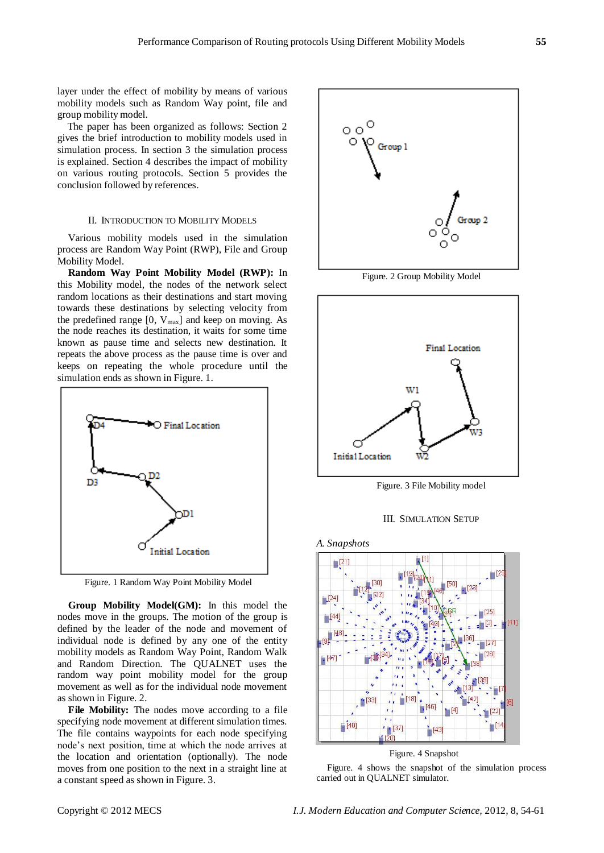layer under the effect of mobility by means of various mobility models such as Random Way point, file and group mobility model.

The paper has been organized as follows: Section 2 gives the brief introduction to mobility models used in simulation process. In section 3 the simulation process is explained. Section 4 describes the impact of mobility on various routing protocols. Section 5 provides the conclusion followed by references.

## II. INTRODUCTION TO MOBILITY MODELS

Various mobility models used in the simulation process are Random Way Point (RWP), File and Group Mobility Model.

**Random Way Point Mobility Model (RWP):** In this Mobility model, the nodes of the network select random locations as their destinations and start moving towards these destinations by selecting velocity from the predefined range  $[0, V_{max}]$  and keep on moving. As the node reaches its destination, it waits for some time known as pause time and selects new destination. It repeats the above process as the pause time is over and keeps on repeating the whole procedure until the simulation ends as shown in Figure. 1.



Figure. 1 Random Way Point Mobility Model

**Group Mobility Model(GM):** In this model the nodes move in the groups. The motion of the group is defined by the leader of the node and movement of individual node is defined by any one of the entity mobility models as Random Way Point, Random Walk and Random Direction. The QUALNET uses the random way point mobility model for the group movement as well as for the individual node movement as shown in Figure. 2.

**File Mobility:** The nodes move according to a file specifying node movement at different simulation times. The file contains waypoints for each node specifying node's next position, time at which the node arrives at the location and orientation (optionally). The node moves from one position to the next in a straight line at a constant speed as shown in Figure. 3.



Figure. 2 Group Mobility Model



Figure. 3 File Mobility model





Figure. 4 Snapshot

Figure. 4 shows the snapshot of the simulation process carried out in QUALNET simulator.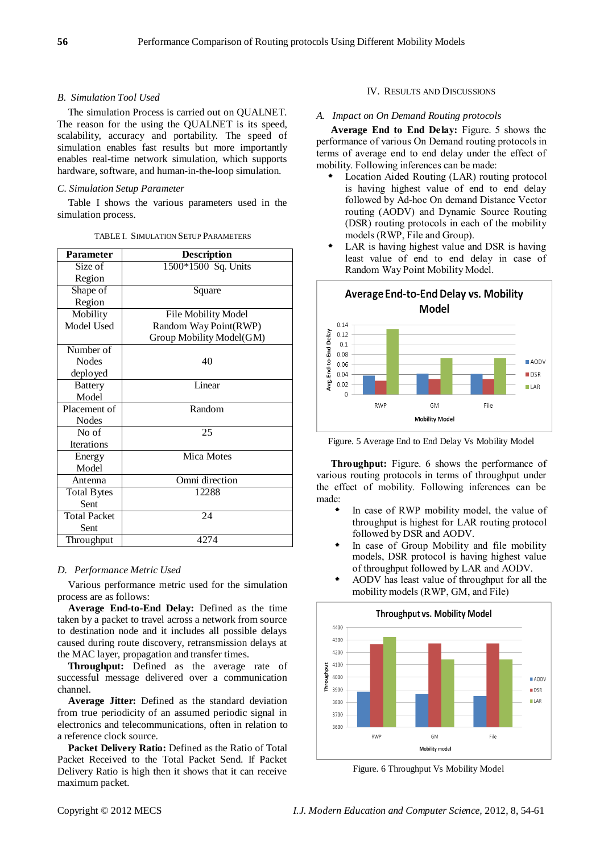## *B. Simulation Tool Used*

The simulation Process is carried out on QUALNET. The reason for the using the QUALNET is its speed, scalability, accuracy and portability. The speed of simulation enables fast results but more importantly enables real-time network simulation, which supports hardware, software, and human-in-the-loop simulation.

## *C. Simulation Setup Parameter*

Table I shows the various parameters used in the simulation process.

| <b>Parameter</b>    | <b>Description</b>         |  |  |  |  |  |
|---------------------|----------------------------|--|--|--|--|--|
| Size of             | 1500*1500 Sq. Units        |  |  |  |  |  |
| Region              |                            |  |  |  |  |  |
| Shape of            | Square                     |  |  |  |  |  |
| Region              |                            |  |  |  |  |  |
| Mobility            | <b>File Mobility Model</b> |  |  |  |  |  |
| Model Used          | Random Way Point(RWP)      |  |  |  |  |  |
|                     | Group Mobility Model(GM)   |  |  |  |  |  |
| Number of           |                            |  |  |  |  |  |
| <b>Nodes</b>        | 40                         |  |  |  |  |  |
| deployed            |                            |  |  |  |  |  |
| <b>Battery</b>      | Linear                     |  |  |  |  |  |
| Model               |                            |  |  |  |  |  |
| Placement of        | Random                     |  |  |  |  |  |
| <b>Nodes</b>        |                            |  |  |  |  |  |
| No of               | 25                         |  |  |  |  |  |
| <b>Iterations</b>   |                            |  |  |  |  |  |
| Energy              | Mica Motes                 |  |  |  |  |  |
| Model               |                            |  |  |  |  |  |
| Antenna             | Omni direction             |  |  |  |  |  |
| <b>Total Bytes</b>  | 12288                      |  |  |  |  |  |
| Sent                |                            |  |  |  |  |  |
| <b>Total Packet</b> | 24                         |  |  |  |  |  |
| Sent                |                            |  |  |  |  |  |
| Throughput          | 4274                       |  |  |  |  |  |

## *D. Performance Metric Used*

Various performance metric used for the simulation process are as follows:

**Average End-to-End Delay:** Defined as the time taken by a packet to travel across a network from source to destination node and it includes all possible delays caused during route discovery, retransmission delays at the MAC layer, propagation and transfer times.

**Throughput:** Defined as the average rate of successful message delivered over a communication channel.

**Average Jitter:** Defined as the standard deviation from true periodicity of an assumed periodic signal in electronics and telecommunications, often in relation to a reference clock source.

**Packet Delivery Ratio:** Defined as the Ratio of Total Packet Received to the Total Packet Send. If Packet Delivery Ratio is high then it shows that it can receive maximum packet.

## IV. RESULTS AND DISCUSSIONS

#### *A. Impact on On Demand Routing protocols*

**Average End to End Delay:** Figure. 5 shows the performance of various On Demand routing protocols in terms of average end to end delay under the effect of mobility. Following inferences can be made:

- Location Aided Routing (LAR) routing protocol is having highest value of end to end delay followed by Ad-hoc On demand Distance Vector routing (AODV) and Dynamic Source Routing (DSR) routing protocols in each of the mobility models (RWP, File and Group).
- LAR is having highest value and DSR is having least value of end to end delay in case of Random Way Point Mobility Model.



Figure. 5 Average End to End Delay Vs Mobility Model

**Throughput:** Figure. 6 shows the performance of various routing protocols in terms of throughput under the effect of mobility. Following inferences can be made:

- In case of RWP mobility model, the value of throughput is highest for LAR routing protocol followed by DSR and AODV.
- In case of Group Mobility and file mobility models, DSR protocol is having highest value of throughput followed by LAR and AODV.
- AODV has least value of throughput for all the mobility models (RWP, GM, and File)



Figure. 6 Throughput Vs Mobility Model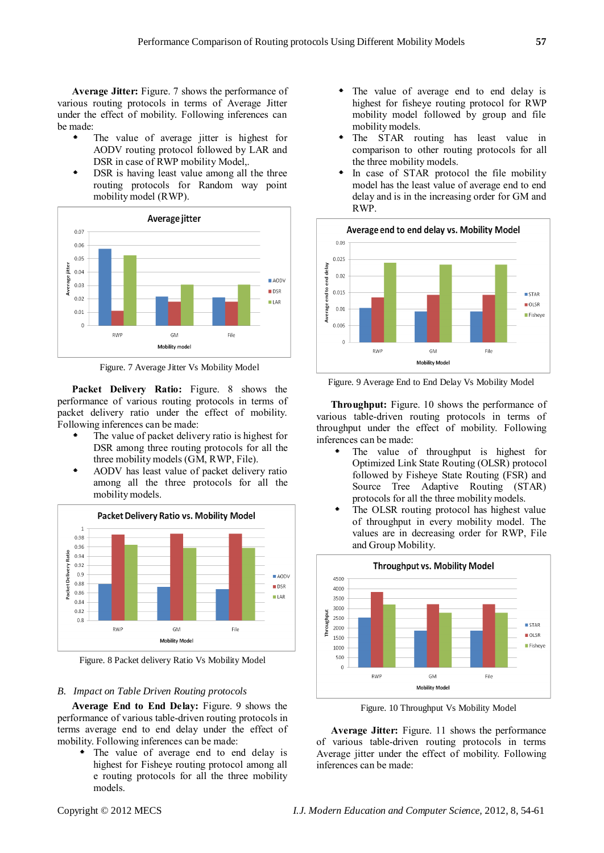**Average Jitter:** Figure. 7 shows the performance of various routing protocols in terms of Average Jitter under the effect of mobility. Following inferences can be made:

- The value of average jitter is highest for AODV routing protocol followed by LAR and DSR in case of RWP mobility Model,.
- DSR is having least value among all the three routing protocols for Random way point mobility model (RWP).



Figure. 7 Average Jitter Vs Mobility Model

**Packet Delivery Ratio:** Figure. 8 shows the performance of various routing protocols in terms of packet delivery ratio under the effect of mobility. Following inferences can be made:

- The value of packet delivery ratio is highest for DSR among three routing protocols for all the three mobility models (GM, RWP, File).
- AODV has least value of packet delivery ratio among all the three protocols for all the mobility models.



Figure. 8 Packet delivery Ratio Vs Mobility Model

## *B. Impact on Table Driven Routing protocols*

**Average End to End Delay:** Figure. 9 shows the performance of various table-driven routing protocols in terms average end to end delay under the effect of mobility. Following inferences can be made:

 The value of average end to end delay is highest for Fisheye routing protocol among all e routing protocols for all the three mobility models.

- The value of average end to end delay is highest for fisheye routing protocol for RWP mobility model followed by group and file mobility models.
- The STAR routing has least value in comparison to other routing protocols for all the three mobility models.
- In case of STAR protocol the file mobility model has the least value of average end to end delay and is in the increasing order for GM and RWP.



Figure. 9 Average End to End Delay Vs Mobility Model

**Throughput:** Figure. 10 shows the performance of various table-driven routing protocols in terms of throughput under the effect of mobility. Following inferences can be made:

- The value of throughput is highest for Optimized Link State Routing (OLSR) protocol followed by Fisheye State Routing (FSR) and Source Tree Adaptive Routing (STAR) protocols for all the three mobility models.
- The OLSR routing protocol has highest value of throughput in every mobility model. The values are in decreasing order for RWP, File and Group Mobility.



Figure. 10 Throughput Vs Mobility Model

**Average Jitter:** Figure. 11 shows the performance of various table-driven routing protocols in terms Average jitter under the effect of mobility. Following inferences can be made: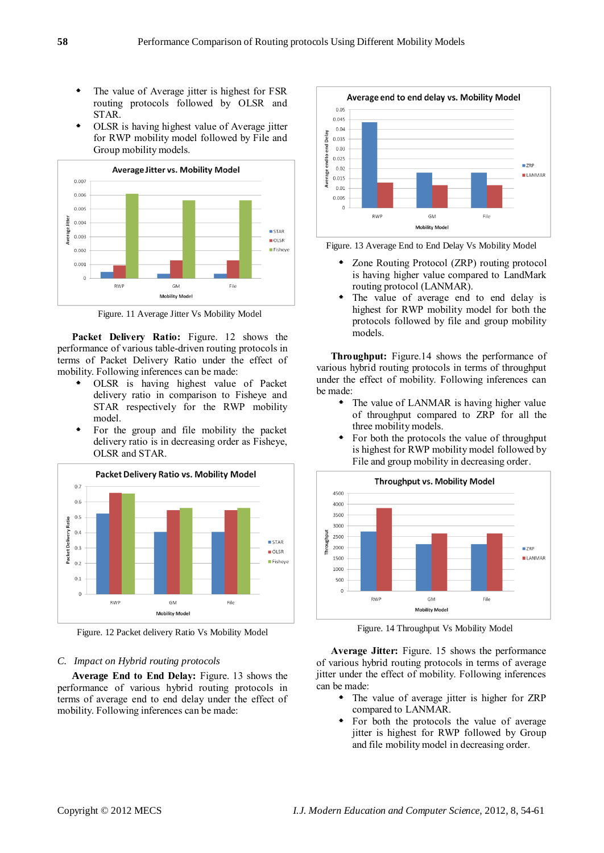- The value of Average jitter is highest for FSR routing protocols followed by OLSR and STAR.
- OLSR is having highest value of Average jitter for RWP mobility model followed by File and Group mobility models.



Figure. 11 Average Jitter Vs Mobility Model

**Packet Delivery Ratio:** Figure. 12 shows the performance of various table-driven routing protocols in terms of Packet Delivery Ratio under the effect of mobility. Following inferences can be made:

- OLSR is having highest value of Packet delivery ratio in comparison to Fisheve and STAR respectively for the RWP mobility model.
- For the group and file mobility the packet delivery ratio is in decreasing order as Fisheye, OLSR and STAR.



Figure. 12 Packet delivery Ratio Vs Mobility Model

## *C. Impact on Hybrid routing protocols*

**Average End to End Delay:** Figure. 13 shows the performance of various hybrid routing protocols in terms of average end to end delay under the effect of mobility. Following inferences can be made:



Figure. 13 Average End to End Delay Vs Mobility Model

- Zone Routing Protocol (ZRP) routing protocol is having higher value compared to LandMark routing protocol (LANMAR).
- The value of average end to end delay is highest for RWP mobility model for both the protocols followed by file and group mobility models.

**Throughput:** Figure.14 shows the performance of various hybrid routing protocols in terms of throughput under the effect of mobility. Following inferences can be made:

- The value of LANMAR is having higher value of throughput compared to ZRP for all the three mobility models.
- For both the protocols the value of throughput is highest for RWP mobility model followed by File and group mobility in decreasing order.



Figure. 14 Throughput Vs Mobility Model

**Average Jitter:** Figure. 15 shows the performance of various hybrid routing protocols in terms of average jitter under the effect of mobility. Following inferences can be made:

- The value of average jitter is higher for ZRP compared to LANMAR.
- For both the protocols the value of average jitter is highest for RWP followed by Group and file mobility model in decreasing order.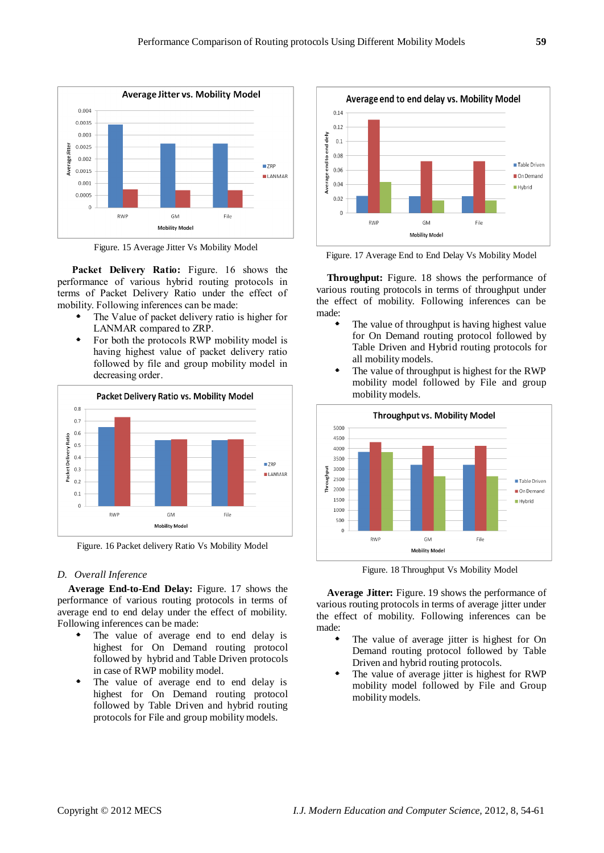

Figure. 15 Average Jitter Vs Mobility Model

**Packet Delivery Ratio:** Figure. 16 shows the performance of various hybrid routing protocols in terms of Packet Delivery Ratio under the effect of mobility. Following inferences can be made:

- The Value of packet delivery ratio is higher for LANMAR compared to ZRP.
- For both the protocols RWP mobility model is having highest value of packet delivery ratio followed by file and group mobility model in decreasing order.



Figure. 16 Packet delivery Ratio Vs Mobility Model

## *D. Overall Inference*

**Average End-to-End Delay:** Figure. 17 shows the performance of various routing protocols in terms of average end to end delay under the effect of mobility. Following inferences can be made:

- The value of average end to end delay is highest for On Demand routing protocol followed by hybrid and Table Driven protocols in case of RWP mobility model.
- The value of average end to end delay is highest for On Demand routing protocol followed by Table Driven and hybrid routing protocols for File and group mobility models.



Figure. 17 Average End to End Delay Vs Mobility Model

**Throughput:** Figure. 18 shows the performance of various routing protocols in terms of throughput under the effect of mobility. Following inferences can be made:

- The value of throughput is having highest value for On Demand routing protocol followed by Table Driven and Hybrid routing protocols for all mobility models.
- The value of throughput is highest for the RWP mobility model followed by File and group mobility models.



Figure. 18 Throughput Vs Mobility Model

**Average Jitter:** Figure. 19 shows the performance of various routing protocols in terms of average jitter under the effect of mobility. Following inferences can be made:

- The value of average jitter is highest for On Demand routing protocol followed by Table Driven and hybrid routing protocols.
- The value of average jitter is highest for RWP mobility model followed by File and Group mobility models.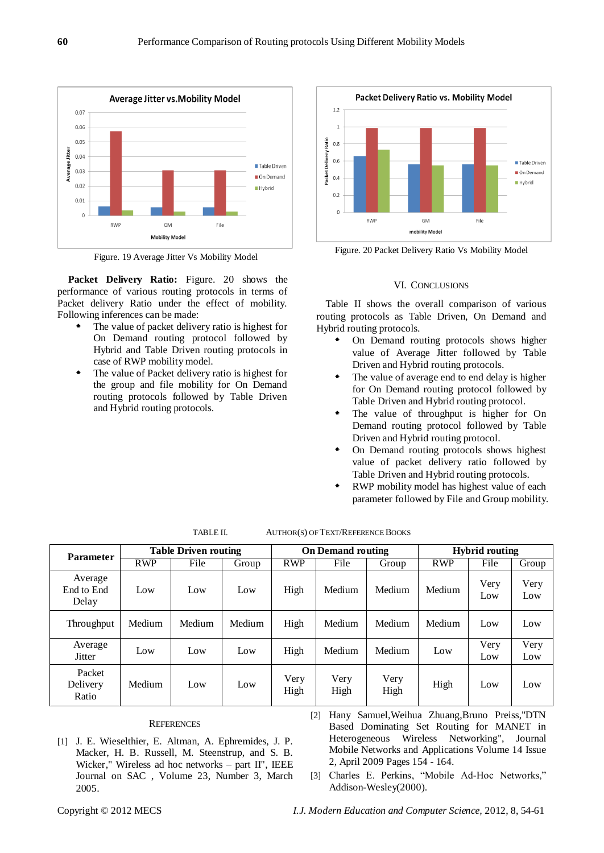

Figure. 19 Average Jitter Vs Mobility Model

**Packet Delivery Ratio:** Figure. 20 shows the performance of various routing protocols in terms of Packet delivery Ratio under the effect of mobility. Following inferences can be made:

- The value of packet delivery ratio is highest for On Demand routing protocol followed by Hybrid and Table Driven routing protocols in case of RWP mobility model.
- The value of Packet delivery ratio is highest for the group and file mobility for On Demand routing protocols followed by Table Driven and Hybrid routing protocols.



Figure. 20 Packet Delivery Ratio Vs Mobility Model

## VI. CONCLUSIONS

Table II shows the overall comparison of various routing protocols as Table Driven, On Demand and Hybrid routing protocols.

- On Demand routing protocols shows higher value of Average Jitter followed by Table Driven and Hybrid routing protocols.
- The value of average end to end delay is higher for On Demand routing protocol followed by Table Driven and Hybrid routing protocol.
- The value of throughput is higher for On Demand routing protocol followed by Table Driven and Hybrid routing protocol.
- On Demand routing protocols shows highest value of packet delivery ratio followed by Table Driven and Hybrid routing protocols.
- RWP mobility model has highest value of each parameter followed by File and Group mobility.

| <b>Parameter</b>               | <b>Table Driven routing</b> |        |        | <b>On Demand routing</b> |              |              | <b>Hybrid routing</b> |             |             |
|--------------------------------|-----------------------------|--------|--------|--------------------------|--------------|--------------|-----------------------|-------------|-------------|
|                                | <b>RWP</b>                  | File   | Group  | <b>RWP</b>               | File         | Group        | <b>RWP</b>            | File        | Group       |
| Average<br>End to End<br>Delay | Low                         | Low    | Low    | High                     | Medium       | Medium       | Medium                | Very<br>Low | Very<br>Low |
| <b>Throughput</b>              | Medium                      | Medium | Medium | High                     | Medium       | Medium       | Medium                | Low         | Low         |
| Average<br><b>Jitter</b>       | Low                         | Low    | Low    | High                     | Medium       | Medium       | Low                   | Very<br>Low | Very<br>Low |
| Packet<br>Delivery<br>Ratio    | Medium                      | Low    | Low    | Very<br>High             | Very<br>High | Very<br>High | High                  | Low         | Low         |

| TABLE II. | <b>AUTHOR(S) OF TEXT/REFERENCE BOOKS</b> |
|-----------|------------------------------------------|
|-----------|------------------------------------------|

## **REFERENCES**

- [1] J. E. Wieselthier, E. Altman, A. Ephremides, J. P. Macker, H. B. Russell, M. Steenstrup, and S. B. Wicker," Wireless ad hoc networks – part II", IEEE Journal on SAC , Volume 23, Number 3, March 2005.
- [2] Hany Samuel,Weihua Zhuang,Bruno Preiss,"DTN Based Dominating Set Routing for MANET in Heterogeneous Wireless Networking", Journal Mobile Networks and Applications Volume 14 Issue 2, April 2009 Pages 154 - 164.
- [3] Charles E. Perkins, "Mobile Ad-Hoc Networks," Addison-Wesley(2000).